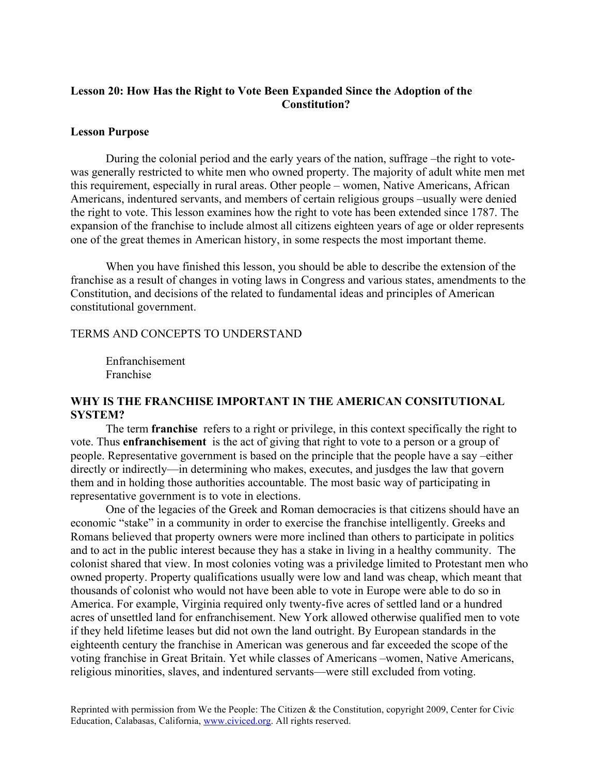# **Lesson 20: How Has the Right to Vote Been Expanded Since the Adoption of the Constitution?**

## **Lesson Purpose**

During the colonial period and the early years of the nation, suffrage –the right to votewas generally restricted to white men who owned property. The majority of adult white men met this requirement, especially in rural areas. Other people – women, Native Americans, African Americans, indentured servants, and members of certain religious groups –usually were denied the right to vote. This lesson examines how the right to vote has been extended since 1787. The expansion of the franchise to include almost all citizens eighteen years of age or older represents one of the great themes in American history, in some respects the most important theme.

When you have finished this lesson, you should be able to describe the extension of the franchise as a result of changes in voting laws in Congress and various states, amendments to the Constitution, and decisions of the related to fundamental ideas and principles of American constitutional government.

## TERMS AND CONCEPTS TO UNDERSTAND

Enfranchisement Franchise

# **WHY IS THE FRANCHISE IMPORTANT IN THE AMERICAN CONSITUTIONAL SYSTEM?**

The term **franchise** refers to a right or privilege, in this context specifically the right to vote. Thus **enfranchisement** is the act of giving that right to vote to a person or a group of people. Representative government is based on the principle that the people have a say –either directly or indirectly—in determining who makes, executes, and jusdges the law that govern them and in holding those authorities accountable. The most basic way of participating in representative government is to vote in elections.

One of the legacies of the Greek and Roman democracies is that citizens should have an economic "stake" in a community in order to exercise the franchise intelligently. Greeks and Romans believed that property owners were more inclined than others to participate in politics and to act in the public interest because they has a stake in living in a healthy community. The colonist shared that view. In most colonies voting was a priviledge limited to Protestant men who owned property. Property qualifications usually were low and land was cheap, which meant that thousands of colonist who would not have been able to vote in Europe were able to do so in America. For example, Virginia required only twenty-five acres of settled land or a hundred acres of unsettled land for enfranchisement. New York allowed otherwise qualified men to vote if they held lifetime leases but did not own the land outright. By European standards in the eighteenth century the franchise in American was generous and far exceeded the scope of the voting franchise in Great Britain. Yet while classes of Americans –women, Native Americans, religious minorities, slaves, and indentured servants—were still excluded from voting.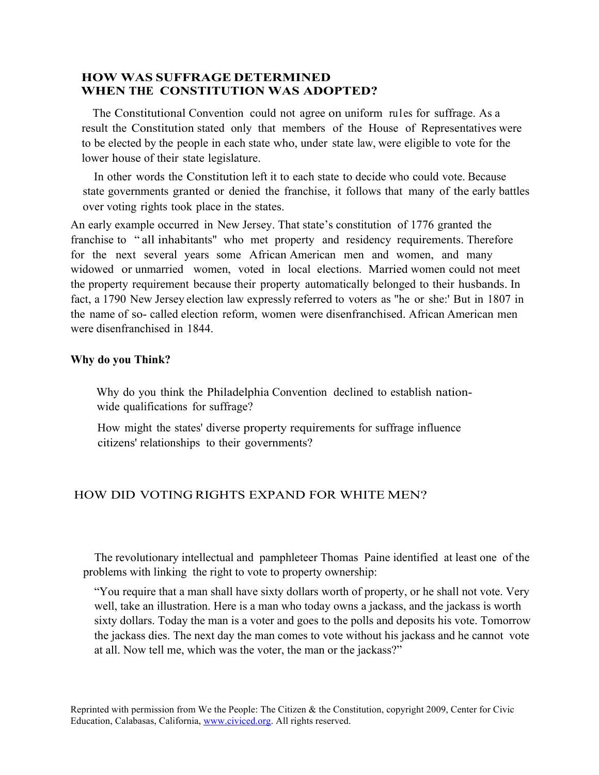## **HOW WAS SUFFRAGE DETERMINED WHEN THE CONSTITUTION WAS ADOPTED?**

The Constitutional Convention could not agree on uniform ru1es for suffrage. As a result the Constitution stated only that members of the House of Representatives were to be elected by the people in each state who, under state law, were eligible to vote for the lower house of their state legislature.

In other words the Constitution left it to each state to decide who could vote. Because state governments granted or denied the franchise, it follows that many of the early battles over voting rights took place in the states.

An early example occurred in New Jersey. That state's constitution of 1776 granted the franchise to " all inhabitants" who met property and residency requirements. Therefore for the next several years some African American men and women, and many widowed or unmarried women, voted in local elections. Married women could not meet the property requirement because their property automatically belonged to their husbands. In fact, a 1790 New Jersey election law expressly referred to voters as "he or she:' But in 1807 in the name of so- called election reform, women were disenfranchised. African American men were disenfranchised in 1844.

## **Why do you Think?**

Why do you think the Philadelphia Convention declined to establish nationwide qualifications for suffrage?

How might the states' diverse property requirements for suffrage influence citizens' relationships to their governments?

# HOW DID VOTING RIGHTS EXPAND FOR WHITE MEN?

The revolutionary intellectual and pamphleteer Thomas Paine identified at least one of the problems with linking the right to vote to property ownership:

"You require that a man shall have sixty dollars worth of property, or he shall not vote. Very well, take an illustration. Here is a man who today owns a jackass, and the jackass is worth sixty dollars. Today the man is a voter and goes to the polls and deposits his vote. Tomorrow the jackass dies. The next day the man comes to vote without his jackass and he cannot vote at all. Now tell me, which was the voter, the man or the jackass?"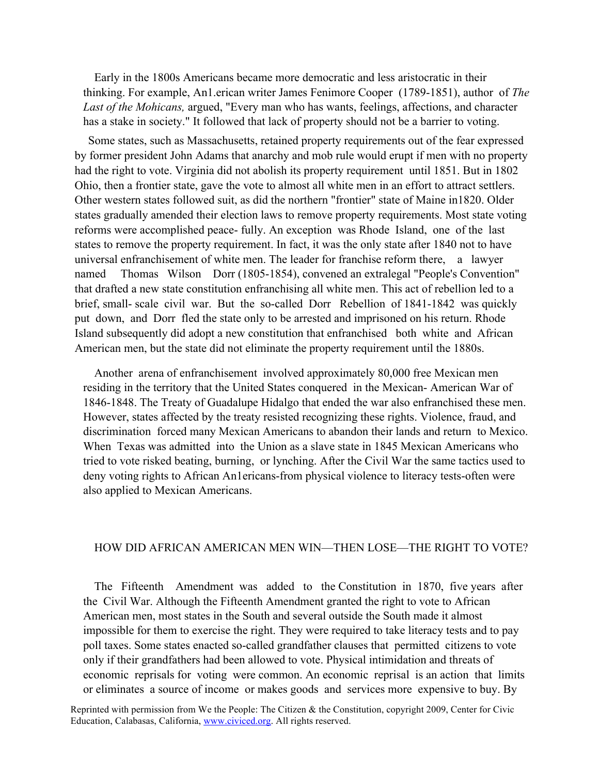Early in the 1800s Americans became more democratic and less aristocratic in their thinking. For example, An1.erican writer James Fenimore Cooper (1789-1851), author of *The Last of the Mohicans,* argued, "Every man who has wants, feelings, affections, and character has a stake in society." It followed that lack of property should not be a barrier to voting.

Some states, such as Massachusetts, retained property requirements out of the fear expressed by former president John Adams that anarchy and mob rule would erupt if men with no property had the right to vote. Virginia did not abolish its property requirement until 1851. But in 1802 Ohio, then a frontier state, gave the vote to almost all white men in an effort to attract settlers. Other western states followed suit, as did the northern "frontier" state of Maine in1820. Older states gradually amended their election laws to remove property requirements. Most state voting reforms were accomplished peace- fully. An exception was Rhode Island, one of the last states to remove the property requirement. In fact, it was the only state after 1840 not to have universal enfranchisement of white men. The leader for franchise reform there, a lawyer named Thomas Wilson Dorr (1805-1854), convened an extralegal "People's Convention" that drafted a new state constitution enfranchising all white men. This act of rebellion led to a brief, small- scale civil war. But the so-called Dorr Rebellion of 1841-1842 was quickly put down, and Dorr fled the state only to be arrested and imprisoned on his return. Rhode Island subsequently did adopt a new constitution that enfranchised both white and African American men, but the state did not eliminate the property requirement until the 1880s.

Another arena of enfranchisement involved approximately 80,000 free Mexican men residing in the territory that the United States conquered in the Mexican- American War of 1846-1848. The Treaty of Guadalupe Hidalgo that ended the war also enfranchised these men. However, states affected by the treaty resisted recognizing these rights. Violence, fraud, and discrimination forced many Mexican Americans to abandon their lands and return to Mexico. When Texas was admitted into the Union as a slave state in 1845 Mexican Americans who tried to vote risked beating, burning, or lynching. After the Civil War the same tactics used to deny voting rights to African An1ericans-from physical violence to literacy tests-often were also applied to Mexican Americans.

## HOW DID AFRICAN AMERICAN MEN WIN—THEN LOSE—THE RIGHT TO VOTE?

The Fifteenth Amendment was added to the Constitution in 1870, five years after the Civil War. Although the Fifteenth Amendment granted the right to vote to African American men, most states in the South and several outside the South made it almost impossible for them to exercise the right. They were required to take literacy tests and to pay poll taxes. Some states enacted so-called grandfather clauses that permitted citizens to vote only if their grandfathers had been allowed to vote. Physical intimidation and threats of economic reprisals for voting were common. An economic reprisal is an action that limits or eliminates a source of income or makes goods and services more expensive to buy. By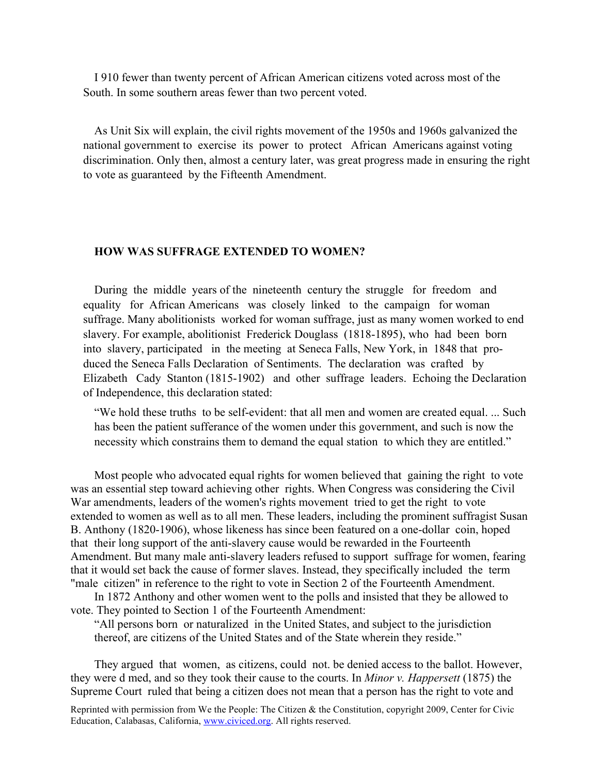I 910 fewer than twenty percent of African American citizens voted across most of the South. In some southern areas fewer than two percent voted.

As Unit Six will explain, the civil rights movement of the 1950s and 1960s galvanized the national government to exercise its power to protect African Americans against voting discrimination. Only then, almost a century later, was great progress made in ensuring the right to vote as guaranteed by the Fifteenth Amendment.

#### **HOW WAS SUFFRAGE EXTENDED TO WOMEN?**

During the middle years of the nineteenth century the struggle for freedom and equality for African Americans was closely linked to the campaign for woman suffrage. Many abolitionists worked for woman suffrage, just as many women worked to end slavery. For example, abolitionist Frederick Douglass (1818-1895), who had been born into slavery, participated in the meeting at Seneca Falls, New York, in 1848 that produced the Seneca Falls Declaration of Sentiments. The declaration was crafted by Elizabeth Cady Stanton (1815-1902) and other suffrage leaders. Echoing the Declaration of Independence, this declaration stated:

"We hold these truths to be self-evident: that all men and women are created equal. ... Such has been the patient sufferance of the women under this government, and such is now the necessity which constrains them to demand the equal station to which they are entitled."

Most people who advocated equal rights for women believed that gaining the right to vote was an essential step toward achieving other rights. When Congress was considering the Civil War amendments, leaders of the women's rights movement tried to get the right to vote extended to women as well as to all men. These leaders, including the prominent suffragist Susan B. Anthony (1820-1906), whose likeness has since been featured on a one-dollar coin, hoped that their long support of the anti-slavery cause would be rewarded in the Fourteenth Amendment. But many male anti-slavery leaders refused to support suffrage for women, fearing that it would set back the cause of former slaves. Instead, they specifically included the term "male citizen" in reference to the right to vote in Section 2 of the Fourteenth Amendment.

In 1872 Anthony and other women went to the polls and insisted that they be allowed to vote. They pointed to Section 1 of the Fourteenth Amendment:

"All persons born or naturalized in the United States, and subject to the jurisdiction thereof, are citizens of the United States and of the State wherein they reside."

They argued that women, as citizens, could not. be denied access to the ballot. However, they were d med, and so they took their cause to the courts. In *Minor v. Happersett* (1875) the Supreme Court ruled that being a citizen does not mean that a person has the right to vote and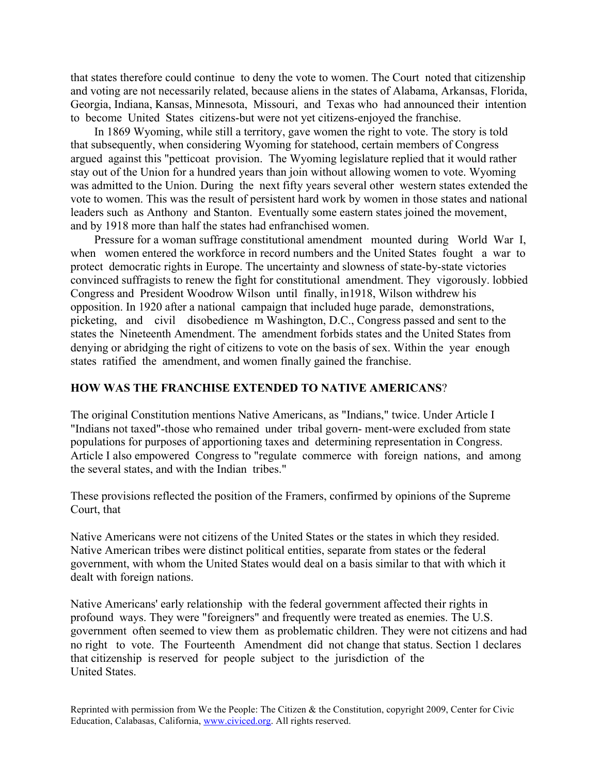that states therefore could continue to deny the vote to women. The Court noted that citizenship and voting are not necessarily related, because aliens in the states of Alabama, Arkansas, Florida, Georgia, Indiana, Kansas, Minnesota, Missouri, and Texas who had announced their intention to become United States citizens-but were not yet citizens-enjoyed the franchise.

In 1869 Wyoming, while still a territory, gave women the right to vote. The story is told that subsequently, when considering Wyoming for statehood, certain members of Congress argued against this "petticoat provision. The Wyoming legislature replied that it would rather stay out of the Union for a hundred years than join without allowing women to vote. Wyoming was admitted to the Union. During the next fifty years several other western states extended the vote to women. This was the result of persistent hard work by women in those states and national leaders such as Anthony and Stanton. Eventually some eastern states joined the movement, and by 1918 more than half the states had enfranchised women.

Pressure for a woman suffrage constitutional amendment mounted during World War I, when women entered the workforce in record numbers and the United States fought a war to protect democratic rights in Europe. The uncertainty and slowness of state-by-state victories convinced suffragists to renew the fight for constitutional amendment. They vigorously. lobbied Congress and President Woodrow Wilson until finally, in1918, Wilson withdrew his opposition. In 1920 after a national campaign that included huge parade, demonstrations, picketing, and civil disobedience m Washington, D.C., Congress passed and sent to the states the Nineteenth Amendment. The amendment forbids states and the United States from denying or abridging the right of citizens to vote on the basis of sex. Within the year enough states ratified the amendment, and women finally gained the franchise.

## **HOW WAS THE FRANCHISE EXTENDED TO NATIVE AMERICANS**?

The original Constitution mentions Native Americans, as "Indians," twice. Under Article I "Indians not taxed"-those who remained under tribal govern- ment-were excluded from state populations for purposes of apportioning taxes and determining representation in Congress. Article I also empowered Congress to "regulate commerce with foreign nations, and among the several states, and with the Indian tribes."

These provisions reflected the position of the Framers, confirmed by opinions of the Supreme Court, that

Native Americans were not citizens of the United States or the states in which they resided. Native American tribes were distinct political entities, separate from states or the federal government, with whom the United States would deal on a basis similar to that with which it dealt with foreign nations.

Native Americans' early relationship with the federal government affected their rights in profound ways. They were "foreigners" and frequently were treated as enemies. The U.S. government often seemed to view them as problematic children. They were not citizens and had no right to vote. The Fourteenth Amendment did not change that status. Section 1 declares that citizenship is reserved for people subject to the jurisdiction of the United States.